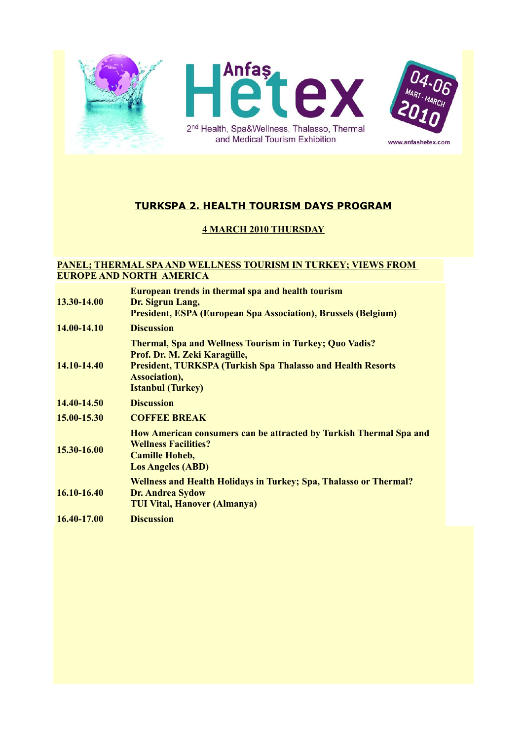





# **TURKSPA 2. HEALTH TOURISM DAYS PROGRAM**

### **4 MARCH 2010 THURSDAY**

#### **PANEL; THERMAL SPA AND WELLNESS TOURISM IN TURKEY; VIEWS FROM EUROPE AND NORTH AMERICA**

| 13.30-14.00 | European trends in thermal spa and health tourism<br>Dr. Sigrun Lang,<br><b>President, ESPA (European Spa Association), Brussels (Belgium)</b>                                                                    |
|-------------|-------------------------------------------------------------------------------------------------------------------------------------------------------------------------------------------------------------------|
| 14.00-14.10 | <b>Discussion</b>                                                                                                                                                                                                 |
| 14.10-14.40 | <b>Thermal, Spa and Wellness Tourism in Turkey; Quo Vadis?</b><br>Prof. Dr. M. Zeki Karagülle,<br><b>President, TURKSPA (Turkish Spa Thalasso and Health Resorts</b><br>Association),<br><b>Istanbul (Turkey)</b> |
| 14.40-14.50 | <b>Discussion</b>                                                                                                                                                                                                 |
| 15.00-15.30 | <b>COFFEE BREAK</b>                                                                                                                                                                                               |
| 15.30-16.00 | How American consumers can be attracted by Turkish Thermal Spa and<br><b>Wellness Facilities?</b><br><b>Camille Hoheb,</b><br><b>Los Angeles (ABD)</b>                                                            |
| 16.10-16.40 | <b>Wellness and Health Holidays in Turkey; Spa, Thalasso or Thermal?</b><br><b>Dr. Andrea Sydow</b><br><b>TUI Vital, Hanover (Almanya)</b>                                                                        |
| 16.40-17.00 | <b>Discussion</b>                                                                                                                                                                                                 |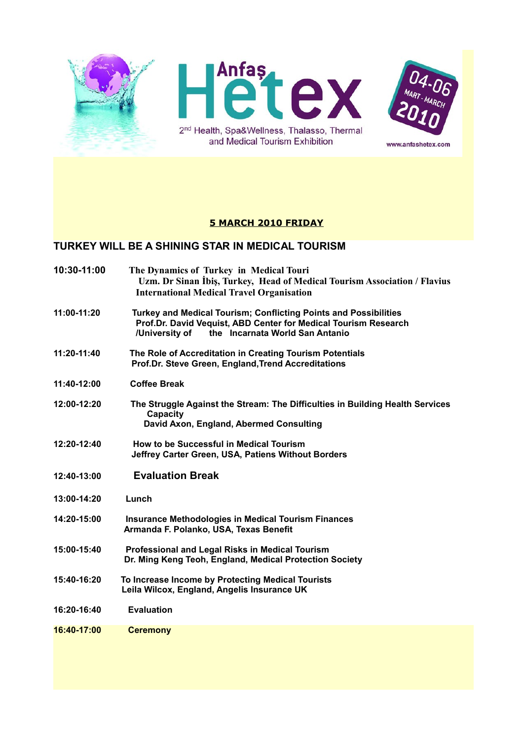

### **5 MARCH 2010 FRIDAY**

#### **TURKEY WILL BE A SHINING STAR IN MEDICAL TOURISM**

- **10:30-11:00 The Dynamics of Turkey in Medical Touri Uzm. Dr Sinan İbiş, Turkey, Head of Medical Tourism Association / Flavius International Medical Travel Organisation**
- **11:00-11:20 Turkey and Medical Tourism; Conflicting Points and Possibilities Prof.Dr. David Vequist, ABD Center for Medical Tourism Research /University of the Incarnata World San Antanio**
- **11:20-11:40 The Role of Accreditation in Creating Tourism Potentials Prof.Dr. Steve Green, England,Trend Accreditations**
- **11:40-12:00 Coffee Break**
- **12:00-12:20 The Struggle Against the Stream: The Difficulties in Building Health Services Capacity David Axon, England, Abermed Consulting**
- **12:20-12:40 How to be Successful in Medical Tourism Jeffrey Carter Green, USA, Patiens Without Borders**
- **12:40-13:00 Evaluation Break**
- **13:00-14:20 Lunch**
- **14:20-15:00 Insurance Methodologies in Medical Tourism Finances Armanda F. Polanko, USA, Texas Benefit**
- **15:00-15:40 Professional and Legal Risks in Medical Tourism Dr. Ming Keng Teoh, England, Medical Protection Society**
- **15:40-16:20 To Increase Income by Protecting Medical Tourists Leila Wilcox, England, Angelis Insurance UK**
- **16:20-16:40 Evaluation**
- **16:40-17:00 Ceremony**